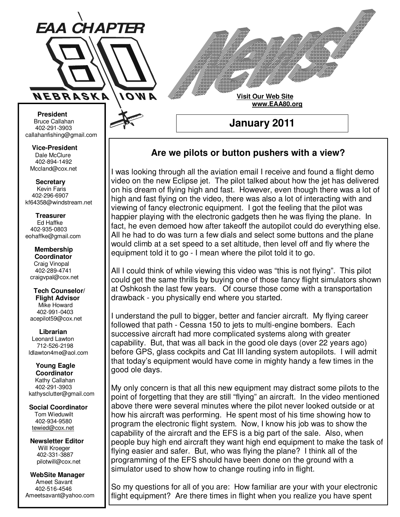

**Visit Our Web Site www.EAA80.org**

**January 2011** 

# **Are we pilots or button pushers with a view?**

I was looking through all the aviation email I receive and found a flight demo video on the new Eclipse jet. The pilot talked about how the jet has delivered on his dream of flying high and fast. However, even though there was a lot of high and fast flying on the video, there was also a lot of interacting with and viewing of fancy electronic equipment. I got the feeling that the pilot was happier playing with the electronic gadgets then he was flying the plane. In fact, he even demoed how after takeoff the autopilot could do everything else. All he had to do was turn a few dials and select some buttons and the plane would climb at a set speed to a set altitude, then level off and fly where the equipment told it to go - I mean where the pilot told it to go.

All I could think of while viewing this video was "this is not flying". This pilot could get the same thrills by buying one of those fancy flight simulators shown at Oshkosh the last few years. Of course those come with a transportation drawback - you physically end where you started.

I understand the pull to bigger, better and fancier aircraft. My flying career followed that path - Cessna 150 to jets to multi-engine bombers. Each successive aircraft had more complicated systems along with greater capability. But, that was all back in the good ole days (over 22 years ago) before GPS, glass cockpits and Cat III landing system autopilots. I will admit that today's equipment would have come in mighty handy a few times in the good ole days.

My only concern is that all this new equipment may distract some pilots to the point of forgetting that they are still "flying" an aircraft. In the video mentioned above there were several minutes where the pilot never looked outside or at how his aircraft was performing. He spent most of his time showing how to program the electronic flight system. Now, I know his job was to show the capability of the aircraft and the EFS is a big part of the sale. Also, when people buy high end aircraft they want high end equipment to make the task of flying easier and safer. But, who was flying the plane? I think all of the programming of the EFS should have been done on the ground with a simulator used to show how to change routing info in flight.

So my questions for all of you are: How familiar are your with your electronic flight equipment? Are there times in flight when you realize you have spent

**Bruce Callahan** 402-291-3903 callahanfishing@gmail.com jrnuke@cox.net  **President** 

Dale McClure 402-894-1492 Mccland@cox.net  **Vice-President** 

**Kevin Faris** 402-296-6907 kf64358@windstream.net  **Secretary** 

Ed Haffke 402-935-0803 eohaffke@gmail.com  **Treasurer** 

eohaffke@gmail.com **Membership Coordi- Coordinator**  Craig Vinopal Bob Cartwright 402-289-4741 craigvpal@cox.net  **Membership** 

robertc@novia.net **Tech Counselors & Flight Advisor** Mike Howard Bob Harvey 402-991-0403 acepilot59@cox.net  **Tech Counselor/** 

Leonard Lawton 402-991-0403 712-526-2198 ldlawton4me@aol.com  **Librarian**

**Librarian Young Eagle Coordinator** Kathy Callahan ldlawton4me@aol.com 402-291-3903 kathysclutter@gmail.com

 **Coordinator Social Coordinator**  Tom Wieduwilt 402-964-2645 402-934-9580

tewied@cox.net

**Newsletter Editor Newsletter Editor**  Will Kroeger Will Kroeger 402-331-3887 402-331-3887 pilotwill@cox.net

**WebSite Manager WebSite Manager**  Ameet Savant 402-516-4546 Ameet Savant<br>402-516-4546<br>Ameetsavant@yahoo.com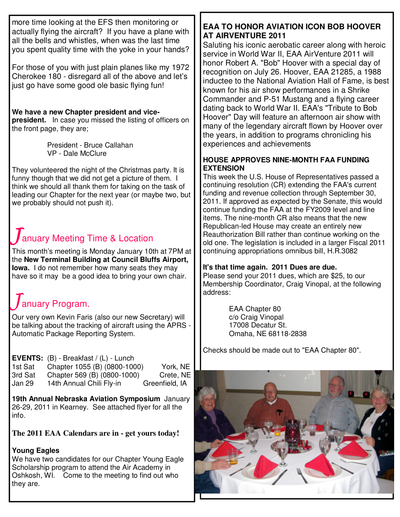more time looking at the EFS then monitoring or actually flying the aircraft? If you have a plane with all the bells and whistles, when was the last time you spent quality time with the yoke in your hands?

For those of you with just plain planes like my 1972 Cherokee 180 - disregard all of the above and let's just go have some good ole basic flying fun!

**We have a new Chapter president and vicepresident.** In case you missed the listing of officers on the front page, they are;

> President - Bruce Callahan VP - Dale McClure

They volunteered the night of the Christmas party. It is funny though that we did not get a picture of them. I think we should all thank them for taking on the task of leading our Chapter for the next year (or maybe two, but we probably should not push it).

# anuary Meeting Time & Location

This month's meeting is Monday January 10th at 7PM at the **New Terminal Building at Council Bluffs Airport, Iowa.** I do not remember how many seats they may have so it may be a good idea to bring your own chair.

# anuary Program.

Our very own Kevin Faris (also our new Secretary) will be talking about the tracking of aircraft using the APRS - Automatic Package Reporting System.

#### **EVENTS:** (B) - Breakfast / (L) - Lunch

1st Sat Chapter 1055 (B) (0800-1000) York, NE 3rd Sat Chapter 569 (B) (0800-1000) Crete, NE Jan 29 14th Annual Chili Fly-in Greenfield, IA

**19th Annual Nebraska Aviation Symposium** January 26-29, 2011 in Kearney. See attached flyer for all the info.

#### **The 2011 EAA Calendars are in - get yours today!**

#### **Young Eagles**

We have two candidates for our Chapter Young Eagle Scholarship program to attend the Air Academy in Oshkosh, WI. Come to the meeting to find out who they are.

## **EAA TO HONOR AVIATION ICON BOB HOOVER AT AIRVENTURE 2011**

Saluting his iconic aerobatic career along with heroic service in World War II, EAA AirVenture 2011 will honor Robert A. "Bob" Hoover with a special day of recognition on July 26. Hoover, EAA 21285, a 1988 inductee to the National Aviation Hall of Fame, is best known for his air show performances in a Shrike Commander and P-51 Mustang and a flying career dating back to World War II. EAA's "Tribute to Bob Hoover" Day will feature an afternoon air show with many of the legendary aircraft flown by Hoover over the years, in addition to programs chronicling his experiences and achievements

#### **HOUSE APPROVES NINE-MONTH FAA FUNDING EXTENSION**

This week the U.S. House of Representatives passed a continuing resolution (CR) extending the FAA's current funding and revenue collection through September 30, 2011. If approved as expected by the Senate, this would continue funding the FAA at the FY2009 level and line items. The nine-month CR also means that the new Republican-led House may create an entirely new Reauthorization Bill rather than continue working on the old one. The legislation is included in a larger Fiscal 2011 continuing appropriations omnibus bill, H.R.3082

## **It's that time again. 2011 Dues are due.**

Please send your 2011 dues, which are \$25, to our Membership Coordinator, Craig Vinopal, at the following address:

> EAA Chapter 80 c/o Craig Vinopal 17008 Decatur St. Omaha, NE 68118-2838

Checks should be made out to "EAA Chapter 80".

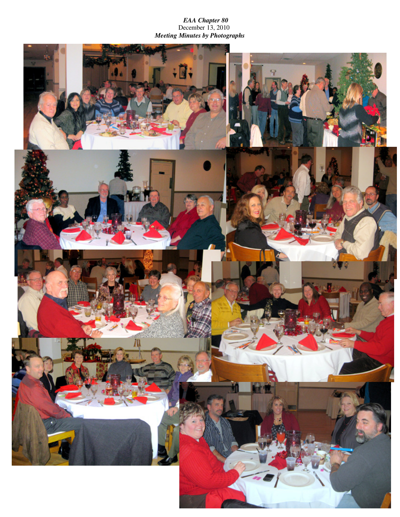*EAA Chapter 80*  December 13, 2010 *Meeting Minutes by Photographs*